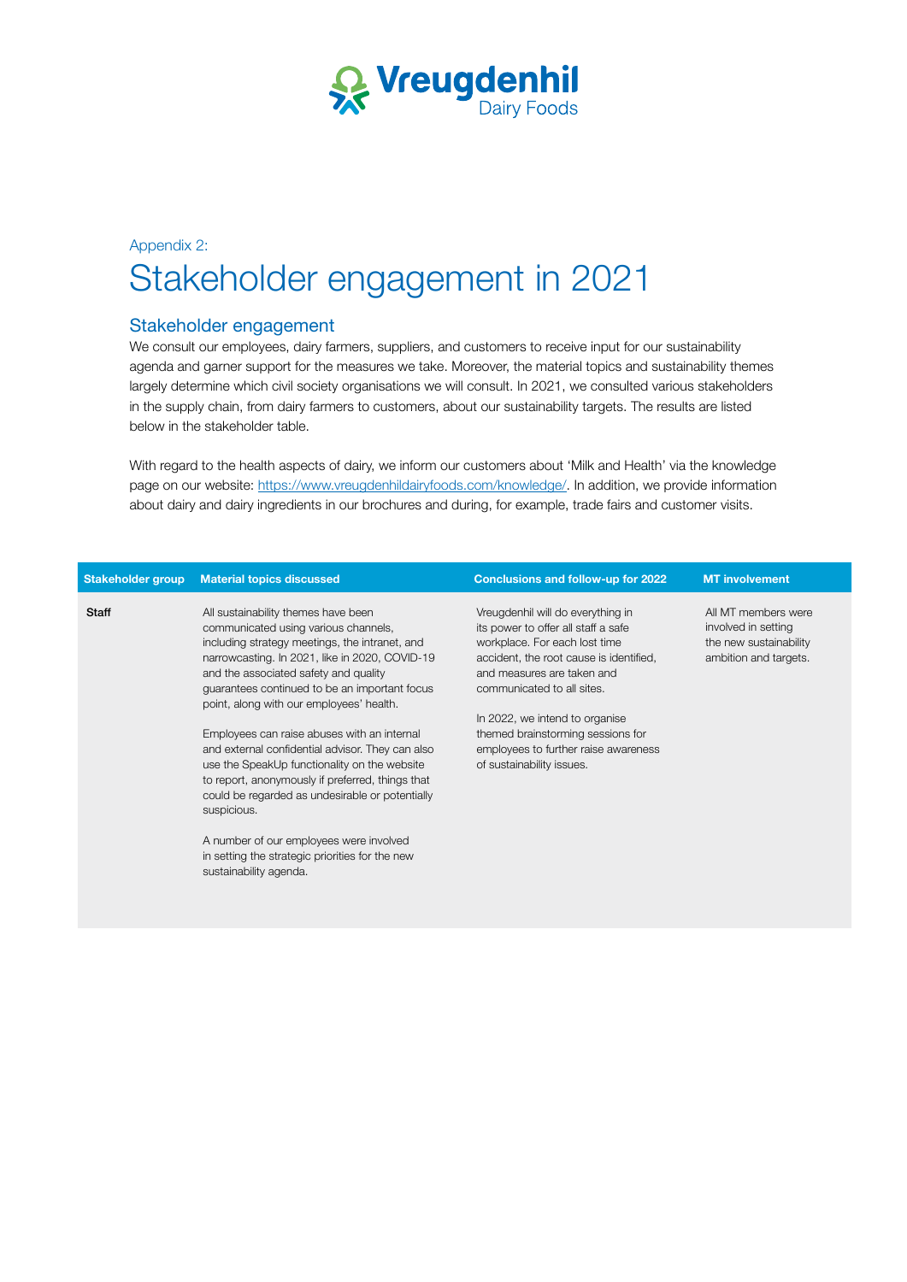

## Appendix 2: Stakeholder engagement in 2021

## Stakeholder engagement

sustainability agenda.

We consult our employees, dairy farmers, suppliers, and customers to receive input for our sustainability agenda and garner support for the measures we take. Moreover, the material topics and sustainability themes largely determine which civil society organisations we will consult. In 2021, we consulted various stakeholders in the supply chain, from dairy farmers to customers, about our sustainability targets. The results are listed below in the stakeholder table.

With regard to the health aspects of dairy, we inform our customers about 'Milk and Health' via the knowledge page on our website: [https://www.vreugdenhildairyfoods.com/knowledge/.](https://www.vreugdenhildairyfoods.com/knowledge/) In addition, we provide information about dairy and dairy ingredients in our brochures and during, for example, trade fairs and customer visits.

|              | Stakeholder group Material topics discussed                                                                                                                                                                                                                                                                           | <b>Conclusions and follow-up for 2022</b>                                                                                                                                                                        | <b>MT</b> involvement                                                                         |
|--------------|-----------------------------------------------------------------------------------------------------------------------------------------------------------------------------------------------------------------------------------------------------------------------------------------------------------------------|------------------------------------------------------------------------------------------------------------------------------------------------------------------------------------------------------------------|-----------------------------------------------------------------------------------------------|
| <b>Staff</b> | All sustainability themes have been<br>communicated using various channels,<br>including strategy meetings, the intranet, and<br>narrowcasting. In 2021, like in 2020, COVID-19<br>and the associated safety and quality<br>guarantees continued to be an important focus<br>point, along with our employees' health. | Vreugdenhil will do everything in<br>its power to offer all staff a safe<br>workplace. For each lost time<br>accident, the root cause is identified,<br>and measures are taken and<br>communicated to all sites. | All MT members were<br>involved in setting<br>the new sustainability<br>ambition and targets. |
|              | Employees can raise abuses with an internal<br>and external confidential advisor. They can also<br>use the SpeakUp functionality on the website<br>to report, anonymously if preferred, things that<br>could be regarded as undesirable or potentially<br>suspicious.                                                 | In 2022, we intend to organise<br>themed brainstorming sessions for<br>employees to further raise awareness<br>of sustainability issues.                                                                         |                                                                                               |
|              | A number of our employees were involved<br>in setting the strategic priorities for the new                                                                                                                                                                                                                            |                                                                                                                                                                                                                  |                                                                                               |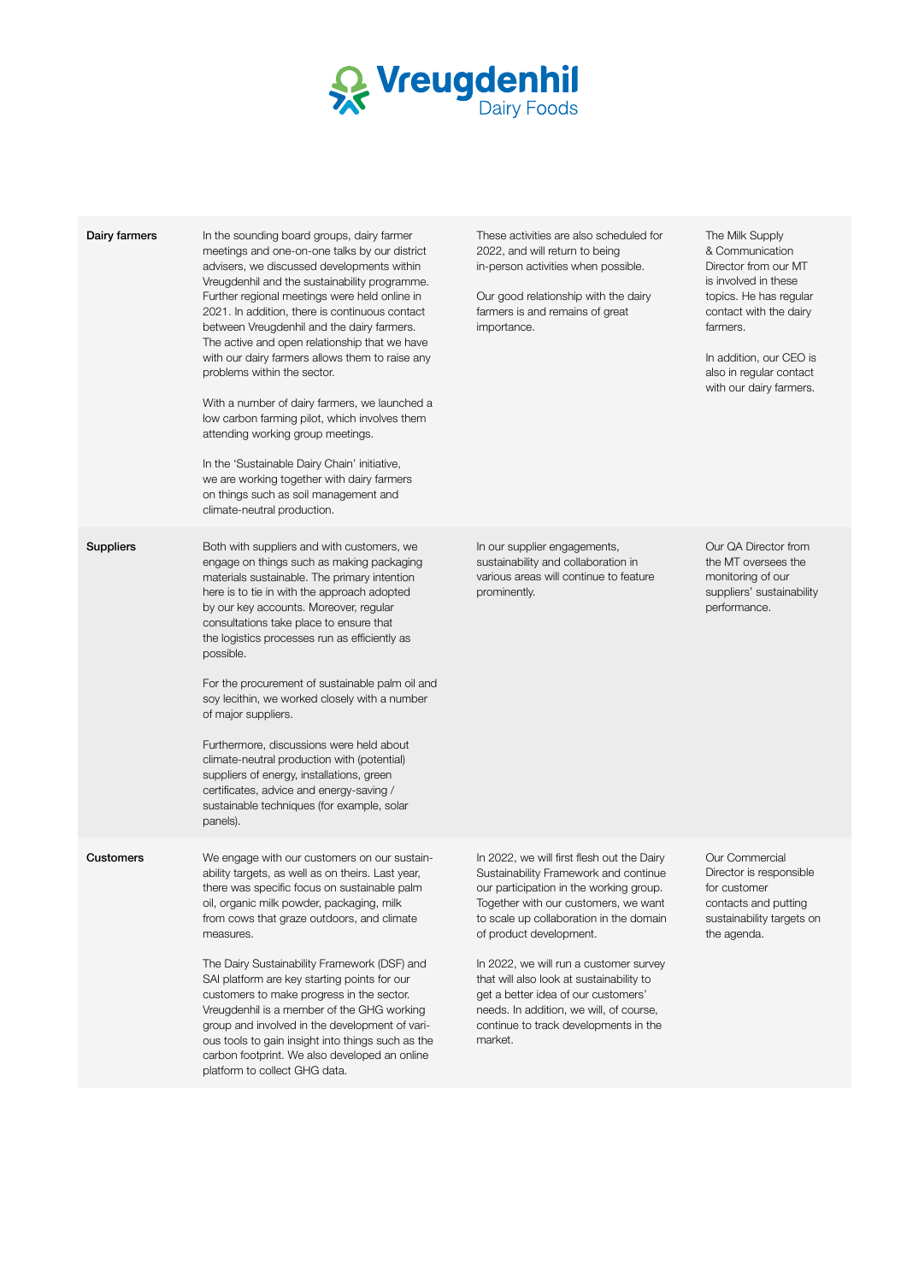

| Dairy farmers    | In the sounding board groups, dairy farmer<br>meetings and one-on-one talks by our district<br>advisers, we discussed developments within<br>Vreugdenhil and the sustainability programme.<br>Further regional meetings were held online in<br>2021. In addition, there is continuous contact<br>between Vreugdenhil and the dairy farmers.<br>The active and open relationship that we have<br>with our dairy farmers allows them to raise any<br>problems within the sector.<br>With a number of dairy farmers, we launched a<br>low carbon farming pilot, which involves them<br>attending working group meetings.<br>In the 'Sustainable Dairy Chain' initiative,<br>we are working together with dairy farmers<br>on things such as soil management and<br>climate-neutral production. | These activities are also scheduled for<br>2022, and will return to being<br>in-person activities when possible.<br>Our good relationship with the dairy<br>farmers is and remains of great<br>importance.                                                                                                                                                                                                                                                               | The Milk Supply<br>& Communication<br>Director from our MT<br>is involved in these<br>topics. He has regular<br>contact with the dairy<br>farmers.<br>In addition, our CEO is<br>also in regular contact<br>with our dairy farmers. |
|------------------|---------------------------------------------------------------------------------------------------------------------------------------------------------------------------------------------------------------------------------------------------------------------------------------------------------------------------------------------------------------------------------------------------------------------------------------------------------------------------------------------------------------------------------------------------------------------------------------------------------------------------------------------------------------------------------------------------------------------------------------------------------------------------------------------|--------------------------------------------------------------------------------------------------------------------------------------------------------------------------------------------------------------------------------------------------------------------------------------------------------------------------------------------------------------------------------------------------------------------------------------------------------------------------|-------------------------------------------------------------------------------------------------------------------------------------------------------------------------------------------------------------------------------------|
| <b>Suppliers</b> | Both with suppliers and with customers, we<br>engage on things such as making packaging<br>materials sustainable. The primary intention<br>here is to tie in with the approach adopted<br>by our key accounts. Moreover, regular<br>consultations take place to ensure that<br>the logistics processes run as efficiently as<br>possible.<br>For the procurement of sustainable palm oil and<br>soy lecithin, we worked closely with a number<br>of major suppliers.<br>Furthermore, discussions were held about<br>climate-neutral production with (potential)<br>suppliers of energy, installations, green<br>certificates, advice and energy-saving /<br>sustainable techniques (for example, solar<br>panels).                                                                          | In our supplier engagements,<br>sustainability and collaboration in<br>various areas will continue to feature<br>prominently.                                                                                                                                                                                                                                                                                                                                            | Our QA Director from<br>the MT oversees the<br>monitoring of our<br>suppliers' sustainability<br>performance.                                                                                                                       |
| Customers        | We engage with our customers on our sustain-<br>ability targets, as well as on theirs. Last year,<br>there was specific focus on sustainable palm<br>oil, organic milk powder, packaging, milk<br>from cows that graze outdoors, and climate<br>measures.<br>The Dairy Sustainability Framework (DSF) and<br>SAI platform are key starting points for our<br>customers to make progress in the sector.<br>Vreugdenhil is a member of the GHG working<br>group and involved in the development of vari-<br>ous tools to gain insight into things such as the<br>carbon footprint. We also developed an online<br>platform to collect GHG data.                                                                                                                                               | In 2022, we will first flesh out the Dairy<br>Sustainability Framework and continue<br>our participation in the working group.<br>logether with our customers, we want<br>to scale up collaboration in the domain<br>of product development.<br>In 2022, we will run a customer survey<br>that will also look at sustainability to<br>get a better idea of our customers'<br>needs. In addition, we will, of course,<br>continue to track developments in the<br>market. | Our Commercial<br>Director is responsible<br>for customer<br>contacts and putting<br>sustainability targets on<br>the agenda.                                                                                                       |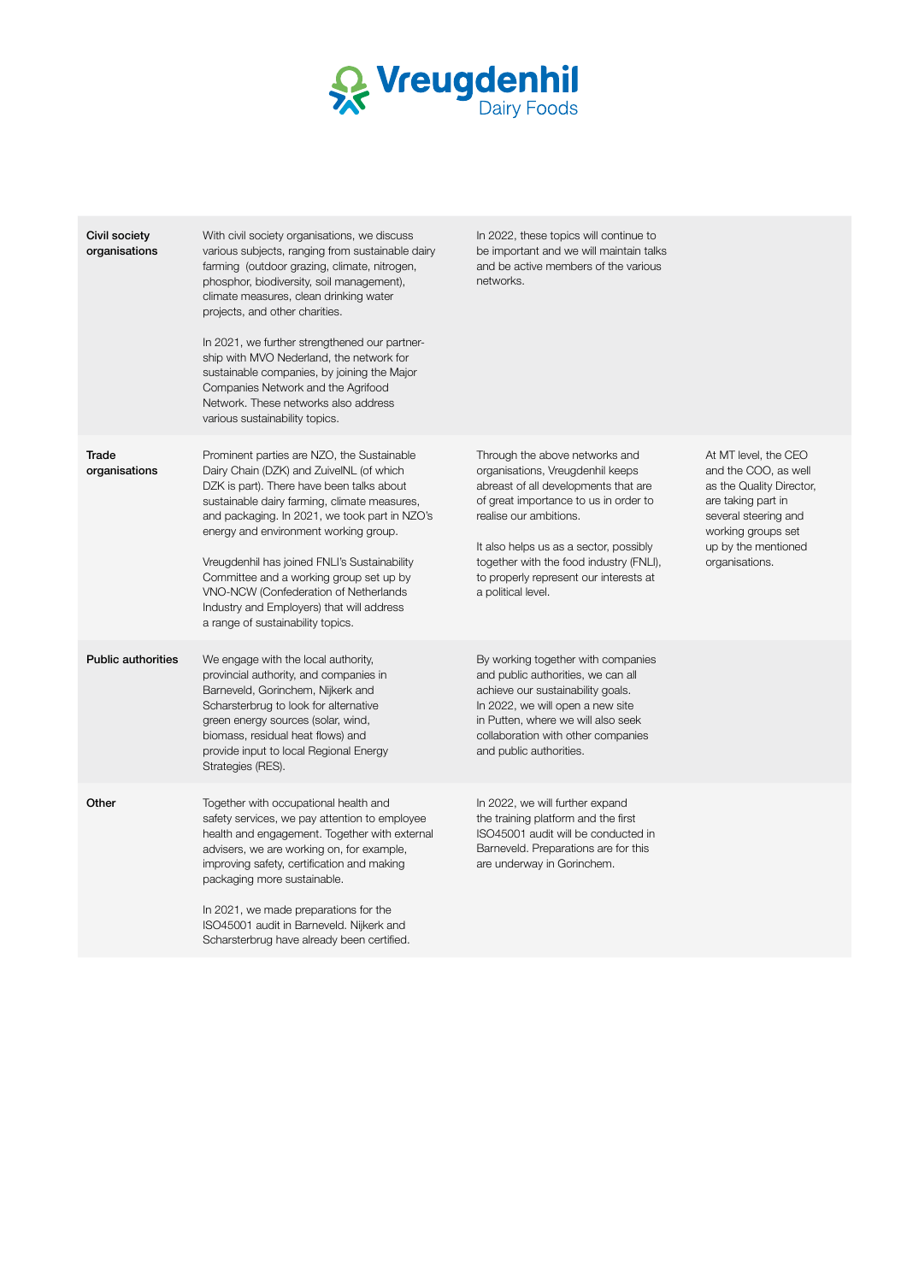

| Civil society<br>organisations | With civil society organisations, we discuss<br>various subjects, ranging from sustainable dairy<br>farming (outdoor grazing, climate, nitrogen,<br>phosphor, biodiversity, soil management),<br>climate measures, clean drinking water<br>projects, and other charities.<br>In 2021, we further strengthened our partner-<br>ship with MVO Nederland, the network for<br>sustainable companies, by joining the Major<br>Companies Network and the Agrifood<br>Network. These networks also address<br>various sustainability topics. | In 2022, these topics will continue to<br>be important and we will maintain talks<br>and be active members of the various<br>networks.                                                                                                                                                                                             |                                                                                                                                                                                       |
|--------------------------------|---------------------------------------------------------------------------------------------------------------------------------------------------------------------------------------------------------------------------------------------------------------------------------------------------------------------------------------------------------------------------------------------------------------------------------------------------------------------------------------------------------------------------------------|------------------------------------------------------------------------------------------------------------------------------------------------------------------------------------------------------------------------------------------------------------------------------------------------------------------------------------|---------------------------------------------------------------------------------------------------------------------------------------------------------------------------------------|
| Trade<br>organisations         | Prominent parties are NZO, the Sustainable<br>Dairy Chain (DZK) and ZuivelNL (of which<br>DZK is part). There have been talks about<br>sustainable dairy farming, climate measures,<br>and packaging. In 2021, we took part in NZO's<br>energy and environment working group.<br>Vreugdenhil has joined FNLI's Sustainability<br>Committee and a working group set up by<br>VNO-NCW (Confederation of Netherlands<br>Industry and Employers) that will address<br>a range of sustainability topics.                                   | Through the above networks and<br>organisations, Vreugdenhil keeps<br>abreast of all developments that are<br>of great importance to us in order to<br>realise our ambitions.<br>It also helps us as a sector, possibly<br>together with the food industry (FNLI),<br>to properly represent our interests at<br>a political level. | At MT level, the CEO<br>and the COO, as well<br>as the Quality Director,<br>are taking part in<br>several steering and<br>working groups set<br>up by the mentioned<br>organisations. |
| <b>Public authorities</b>      | We engage with the local authority,<br>provincial authority, and companies in<br>Barneveld, Gorinchem, Nijkerk and<br>Scharsterbrug to look for alternative<br>green energy sources (solar, wind,<br>biomass, residual heat flows) and<br>provide input to local Regional Energy<br>Strategies (RES).                                                                                                                                                                                                                                 | By working together with companies<br>and public authorities, we can all<br>achieve our sustainability goals.<br>In 2022, we will open a new site<br>in Putten, where we will also seek<br>collaboration with other companies<br>and public authorities.                                                                           |                                                                                                                                                                                       |
| Other                          | Together with occupational health and<br>safety services, we pay attention to employee<br>health and engagement. Together with external<br>advisers, we are working on, for example,<br>improving safety, certification and making<br>packaging more sustainable.<br>In 2021, we made preparations for the<br>ISO45001 audit in Barneveld. Nijkerk and<br>Scharsterbrug have already been certified.                                                                                                                                  | In 2022, we will further expand<br>the training platform and the first<br>ISO45001 audit will be conducted in<br>Barneveld. Preparations are for this<br>are underway in Gorinchem.                                                                                                                                                |                                                                                                                                                                                       |